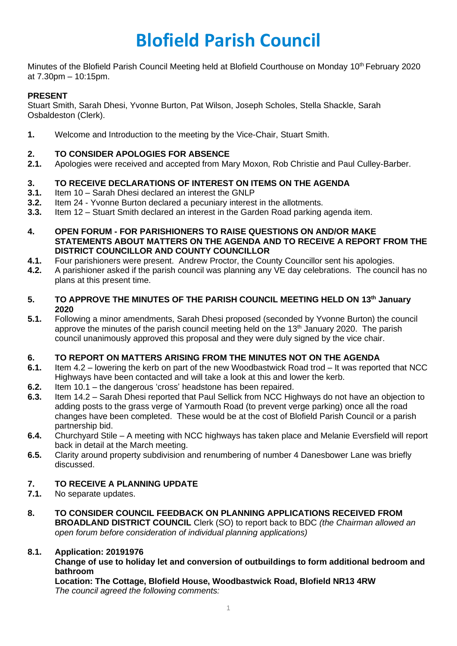# **Blofield Parish Council**

Minutes of the Blofield Parish Council Meeting held at Blofield Courthouse on Monday 10<sup>th</sup> February 2020 at 7.30pm – 10:15pm.

## **PRESENT**

Stuart Smith, Sarah Dhesi, Yvonne Burton, Pat Wilson, Joseph Scholes, Stella Shackle, Sarah Osbaldeston (Clerk).

**1.** Welcome and Introduction to the meeting by the Vice-Chair, Stuart Smith.

## **2. TO CONSIDER APOLOGIES FOR ABSENCE**

**2.1.** Apologies were received and accepted from Mary Moxon, Rob Christie and Paul Culley-Barber.

## **3. TO RECEIVE DECLARATIONS OF INTEREST ON ITEMS ON THE AGENDA**

- **3.1.** Item 10 Sarah Dhesi declared an interest the GNLP
- **3.2.** Item 24 Yvonne Burton declared a pecuniary interest in the allotments.
- **3.3.** Item 12 Stuart Smith declared an interest in the Garden Road parking agenda item.
- **4. OPEN FORUM - FOR PARISHIONERS TO RAISE QUESTIONS ON AND/OR MAKE STATEMENTS ABOUT MATTERS ON THE AGENDA AND TO RECEIVE A REPORT FROM THE DISTRICT COUNCILLOR AND COUNTY COUNCILLOR**
- **4.1.** Four parishioners were present. Andrew Proctor, the County Councillor sent his apologies.
- **4.2.** A parishioner asked if the parish council was planning any VE day celebrations. The council has no plans at this present time.
- **5. TO APPROVE THE MINUTES OF THE PARISH COUNCIL MEETING HELD ON 13th January 2020**
- **5.1.** Following a minor amendments, Sarah Dhesi proposed (seconded by Yvonne Burton) the council approve the minutes of the parish council meeting held on the  $13<sup>th</sup>$  January 2020. The parish council unanimously approved this proposal and they were duly signed by the vice chair.

## **6. TO REPORT ON MATTERS ARISING FROM THE MINUTES NOT ON THE AGENDA**

- **6.1.** Item 4.2 lowering the kerb on part of the new Woodbastwick Road trod It was reported that NCC Highways have been contacted and will take a look at this and lower the kerb.
- **6.2.** Item 10.1 the dangerous 'cross' headstone has been repaired.
- **6.3.** Item 14.2 Sarah Dhesi reported that Paul Sellick from NCC Highways do not have an objection to adding posts to the grass verge of Yarmouth Road (to prevent verge parking) once all the road changes have been completed. These would be at the cost of Blofield Parish Council or a parish partnership bid.
- **6.4.** Churchyard Stile A meeting with NCC highways has taken place and Melanie Eversfield will report back in detail at the March meeting.
- **6.5.** Clarity around property subdivision and renumbering of number 4 Danesbower Lane was briefly discussed.

### **7. TO RECEIVE A PLANNING UPDATE**

- **7.1.** No separate updates.
- **8. TO CONSIDER COUNCIL FEEDBACK ON PLANNING APPLICATIONS RECEIVED FROM BROADLAND DISTRICT COUNCIL** Clerk (SO) to report back to BDC *(the Chairman allowed an open forum before consideration of individual planning applications)*

## **8.1. Application: 20191976**

## **Change of use to holiday let and conversion of outbuildings to form additional bedroom and bathroom**

**Location: The Cottage, Blofield House, Woodbastwick Road, Blofield NR13 4RW** *The council agreed the following comments:*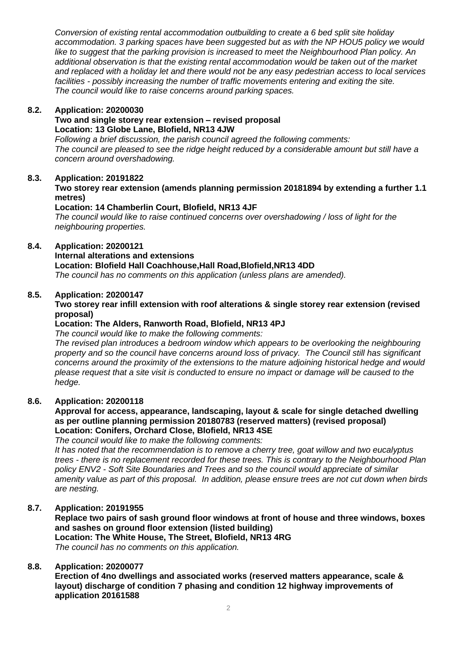*Conversion of existing rental accommodation outbuilding to create a 6 bed split site holiday accommodation. 3 parking spaces have been suggested but as with the NP HOU5 policy we would like to suggest that the parking provision is increased to meet the Neighbourhood Plan policy. An additional observation is that the existing rental accommodation would be taken out of the market and replaced with a holiday let and there would not be any easy pedestrian access to local services facilities - possibly increasing the number of traffic movements entering and exiting the site. The council would like to raise concerns around parking spaces.*

### **8.2. Application: 20200030**

#### **Two and single storey rear extension – revised proposal Location: 13 Globe Lane, Blofield, NR13 4JW**

*Following a brief discussion, the parish council agreed the following comments: The council are pleased to see the ridge height reduced by a considerable amount but still have a concern around overshadowing.*

## **8.3. Application: 20191822**

**Two storey rear extension (amends planning permission 20181894 by extending a further 1.1 metres)**

## **Location: 14 Chamberlin Court, Blofield, NR13 4JF**

*The council would like to raise continued concerns over overshadowing / loss of light for the neighbouring properties.* 

## **8.4. Application: 20200121**

**Internal alterations and extensions**

## **Location: Blofield Hall Coachhouse,Hall Road,Blofield,NR13 4DD**

*The council has no comments on this application (unless plans are amended).* 

### **8.5. Application: 20200147**

## **Two storey rear infill extension with roof alterations & single storey rear extension (revised proposal)**

## **Location: The Alders, Ranworth Road, Blofield, NR13 4PJ**

*The council would like to make the following comments:*

*The revised plan introduces a bedroom window which appears to be overlooking the neighbouring property and so the council have concerns around loss of privacy. The Council still has significant concerns around the proximity of the extensions to the mature adjoining historical hedge and would please request that a site visit is conducted to ensure no impact or damage will be caused to the hedge.* 

### **8.6. Application: 20200118**

## **Approval for access, appearance, landscaping, layout & scale for single detached dwelling as per outline planning permission 20180783 (reserved matters) (revised proposal) Location: Conifers, Orchard Close, Blofield, NR13 4SE**

*The council would like to make the following comments:*

*It has noted that the recommendation is to remove a cherry tree, goat willow and two eucalyptus trees - there is no replacement recorded for these trees. This is contrary to the Neighbourhood Plan policy ENV2 - Soft Site Boundaries and Trees and so the council would appreciate of similar amenity value as part of this proposal. In addition, please ensure trees are not cut down when birds are nesting.* 

### **8.7. Application: 20191955**

**Replace two pairs of sash ground floor windows at front of house and three windows, boxes and sashes on ground floor extension (listed building)** 

**Location: The White House, The Street, Blofield, NR13 4RG** *The council has no comments on this application.*

### **8.8. Application: 20200077**

**Erection of 4no dwellings and associated works (reserved matters appearance, scale & layout) discharge of condition 7 phasing and condition 12 highway improvements of application 20161588**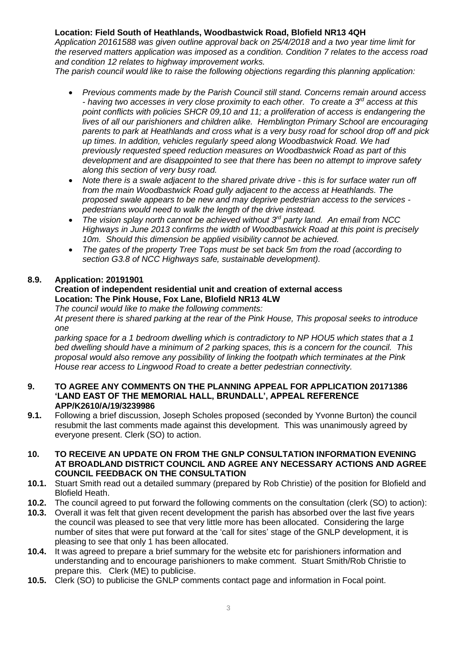## **Location: Field South of Heathlands, Woodbastwick Road, Blofield NR13 4QH**

*Application 20161588 was given outline approval back on 25/4/2018 and a two year time limit for the reserved matters application was imposed as a condition. Condition 7 relates to the access road and condition 12 relates to highway improvement works.* 

*The parish council would like to raise the following objections regarding this planning application:*

- *Previous comments made by the Parish Council still stand. Concerns remain around access - having two accesses in very close proximity to each other. To create a 3rd access at this point conflicts with policies SHCR 09,10 and 11; a proliferation of access is endangering the lives of all our parishioners and children alike. Hemblington Primary School are encouraging parents to park at Heathlands and cross what is a very busy road for school drop off and pick up times. In addition, vehicles regularly speed along Woodbastwick Road. We had previously requested speed reduction measures on Woodbastwick Road as part of this development and are disappointed to see that there has been no attempt to improve safety along this section of very busy road.*
- *Note there is a swale adjacent to the shared private drive - this is for surface water run off from the main Woodbastwick Road gully adjacent to the access at Heathlands. The proposed swale appears to be new and may deprive pedestrian access to the services pedestrians would need to walk the length of the drive instead.*
- *The vision splay north cannot be achieved without 3rd party land. An email from NCC Highways in June 2013 confirms the width of Woodbastwick Road at this point is precisely 10m. Should this dimension be applied visibility cannot be achieved.*
- *The gates of the property Tree Tops must be set back 5m from the road (according to section G3.8 of NCC Highways safe, sustainable development).*

## **8.9. Application: 20191901**

## **Creation of independent residential unit and creation of external access Location: The Pink House, Fox Lane, Blofield NR13 4LW**

*The council would like to make the following comments:*

*At present there is shared parking at the rear of the Pink House, This proposal seeks to introduce one* 

*parking space for a 1 bedroom dwelling which is contradictory to NP HOU5 which states that a 1 bed dwelling should have a minimum of 2 parking spaces, this is a concern for the council. This proposal would also remove any possibility of linking the footpath which terminates at the Pink House rear access to Lingwood Road to create a better pedestrian connectivity.*

#### **9. TO AGREE ANY COMMENTS ON THE PLANNING APPEAL FOR APPLICATION 20171386 'LAND EAST OF THE MEMORIAL HALL, BRUNDALL', APPEAL REFERENCE APP/K2610/A/19/3239986**

**9.1.** Following a brief discussion, Joseph Scholes proposed (seconded by Yvonne Burton) the council resubmit the last comments made against this development. This was unanimously agreed by everyone present. Clerk (SO) to action.

### **10. TO RECEIVE AN UPDATE ON FROM THE GNLP CONSULTATION INFORMATION EVENING AT BROADLAND DISTRICT COUNCIL AND AGREE ANY NECESSARY ACTIONS AND AGREE COUNCIL FEEDBACK ON THE CONSULTATION**

- **10.1.** Stuart Smith read out a detailed summary (prepared by Rob Christie) of the position for Blofield and Blofield Heath.
- **10.2.** The council agreed to put forward the following comments on the consultation (clerk (SO) to action):
- **10.3.** Overall it was felt that given recent development the parish has absorbed over the last five years the council was pleased to see that very little more has been allocated. Considering the large number of sites that were put forward at the 'call for sites' stage of the GNLP development, it is pleasing to see that only 1 has been allocated.
- **10.4.** It was agreed to prepare a brief summary for the website etc for parishioners information and understanding and to encourage parishioners to make comment. Stuart Smith/Rob Christie to prepare this. Clerk (ME) to publicise.
- **10.5.** Clerk (SO) to publicise the GNLP comments contact page and information in Focal point.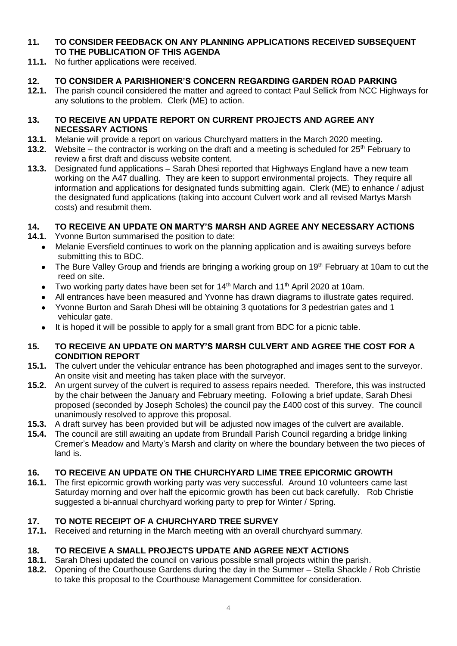## **11. TO CONSIDER FEEDBACK ON ANY PLANNING APPLICATIONS RECEIVED SUBSEQUENT TO THE PUBLICATION OF THIS AGENDA**

**11.1.** No further applications were received.

## **12. TO CONSIDER A PARISHIONER'S CONCERN REGARDING GARDEN ROAD PARKING**

**12.1.** The parish council considered the matter and agreed to contact Paul Sellick from NCC Highways for any solutions to the problem. Clerk (ME) to action.

## **13. TO RECEIVE AN UPDATE REPORT ON CURRENT PROJECTS AND AGREE ANY NECESSARY ACTIONS**

- **13.1.** Melanie will provide a report on various Churchyard matters in the March 2020 meeting.
- **13.2.** Website the contractor is working on the draft and a meeting is scheduled for 25<sup>th</sup> February to review a first draft and discuss website content.
- **13.3.** Designated fund applications Sarah Dhesi reported that Highways England have a new team working on the A47 dualling. They are keen to support environmental projects. They require all information and applications for designated funds submitting again. Clerk (ME) to enhance / adjust the designated fund applications (taking into account Culvert work and all revised Martys Marsh costs) and resubmit them.

## **14. TO RECEIVE AN UPDATE ON MARTY'S MARSH AND AGREE ANY NECESSARY ACTIONS**

- **14.1.** Yvonne Burton summarised the position to date:
	- Melanie Eversfield continues to work on the planning application and is awaiting surveys before submitting this to BDC.
	- The Bure Valley Group and friends are bringing a working group on 19<sup>th</sup> February at 10am to cut the reed on site.
	- Two working party dates have been set for 14<sup>th</sup> March and 11<sup>th</sup> April 2020 at 10am.
	- All entrances have been measured and Yvonne has drawn diagrams to illustrate gates required.
	- Yvonne Burton and Sarah Dhesi will be obtaining 3 quotations for 3 pedestrian gates and 1 vehicular gate.
	- It is hoped it will be possible to apply for a small grant from BDC for a picnic table.

## **15. TO RECEIVE AN UPDATE ON MARTY'S MARSH CULVERT AND AGREE THE COST FOR A CONDITION REPORT**

- **15.1.** The culvert under the vehicular entrance has been photographed and images sent to the surveyor. An onsite visit and meeting has taken place with the surveyor.
- **15.2.** An urgent survey of the culvert is required to assess repairs needed. Therefore, this was instructed by the chair between the January and February meeting. Following a brief update, Sarah Dhesi proposed (seconded by Joseph Scholes) the council pay the £400 cost of this survey. The council unanimously resolved to approve this proposal.
- **15.3.** A draft survey has been provided but will be adjusted now images of the culvert are available.
- **15.4.** The council are still awaiting an update from Brundall Parish Council regarding a bridge linking Cremer's Meadow and Marty's Marsh and clarity on where the boundary between the two pieces of land is.

## **16. TO RECEIVE AN UPDATE ON THE CHURCHYARD LIME TREE EPICORMIC GROWTH**

**16.1.** The first epicormic growth working party was very successful. Around 10 volunteers came last Saturday morning and over half the epicormic growth has been cut back carefully. Rob Christie suggested a bi-annual churchyard working party to prep for Winter / Spring.

## **17. TO NOTE RECEIPT OF A CHURCHYARD TREE SURVEY**

**17.1.** Received and returning in the March meeting with an overall churchyard summary.

## **18. TO RECEIVE A SMALL PROJECTS UPDATE AND AGREE NEXT ACTIONS**

- **18.1.** Sarah Dhesi updated the council on various possible small projects within the parish.
- **18.2.** Opening of the Courthouse Gardens during the day in the Summer Stella Shackle / Rob Christie to take this proposal to the Courthouse Management Committee for consideration.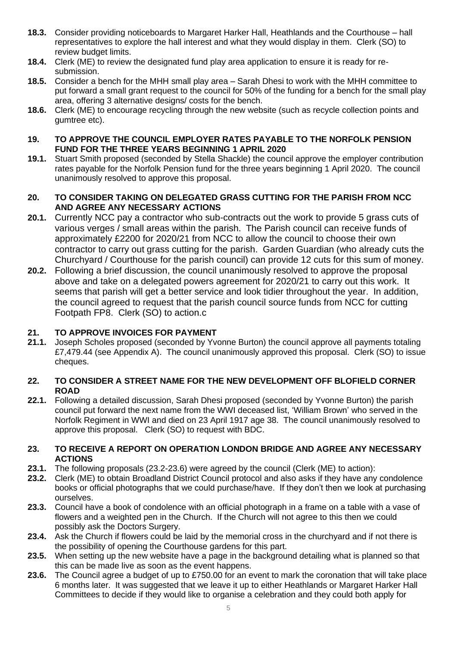- **18.3.** Consider providing noticeboards to Margaret Harker Hall, Heathlands and the Courthouse hall representatives to explore the hall interest and what they would display in them. Clerk (SO) to review budget limits.
- **18.4.** Clerk (ME) to review the designated fund play area application to ensure it is ready for resubmission.
- **18.5.** Consider a bench for the MHH small play area Sarah Dhesi to work with the MHH committee to put forward a small grant request to the council for 50% of the funding for a bench for the small play area, offering 3 alternative designs/ costs for the bench.
- **18.6.** Clerk (ME) to encourage recycling through the new website (such as recycle collection points and gumtree etc).
- **19. TO APPROVE THE COUNCIL EMPLOYER RATES PAYABLE TO THE NORFOLK PENSION FUND FOR THE THREE YEARS BEGINNING 1 APRIL 2020**
- **19.1.** Stuart Smith proposed (seconded by Stella Shackle) the council approve the employer contribution rates payable for the Norfolk Pension fund for the three years beginning 1 April 2020. The council unanimously resolved to approve this proposal.

## **20. TO CONSIDER TAKING ON DELEGATED GRASS CUTTING FOR THE PARISH FROM NCC AND AGREE ANY NECESSARY ACTIONS**

- **20.1.** Currently NCC pay a contractor who sub-contracts out the work to provide 5 grass cuts of various verges / small areas within the parish. The Parish council can receive funds of approximately £2200 for 2020/21 from NCC to allow the council to choose their own contractor to carry out grass cutting for the parish. Garden Guardian (who already cuts the Churchyard / Courthouse for the parish council) can provide 12 cuts for this sum of money.
- **20.2.** Following a brief discussion, the council unanimously resolved to approve the proposal above and take on a delegated powers agreement for 2020/21 to carry out this work. It seems that parish will get a better service and look tidier throughout the year. In addition, the council agreed to request that the parish council source funds from NCC for cutting Footpath FP8. Clerk (SO) to action.c

## **21. TO APPROVE INVOICES FOR PAYMENT**

**21.1.** Joseph Scholes proposed (seconded by Yvonne Burton) the council approve all payments totaling £7,479.44 (see Appendix A). The council unanimously approved this proposal. Clerk (SO) to issue cheques.

## **22. TO CONSIDER A STREET NAME FOR THE NEW DEVELOPMENT OFF BLOFIELD CORNER ROAD**

**22.1.** Following a detailed discussion, Sarah Dhesi proposed (seconded by Yvonne Burton) the parish council put forward the next name from the WWI deceased list, 'William Brown' who served in the Norfolk Regiment in WWI and died on 23 April 1917 age 38. The council unanimously resolved to approve this proposal. Clerk (SO) to request with BDC.

## **23. TO RECEIVE A REPORT ON OPERATION LONDON BRIDGE AND AGREE ANY NECESSARY ACTIONS**

- **23.1.** The following proposals (23.2-23.6) were agreed by the council (Clerk (ME) to action):
- **23.2.** Clerk (ME) to obtain Broadland District Council protocol and also asks if they have any condolence books or official photographs that we could purchase/have. If they don't then we look at purchasing ourselves.
- **23.3.** Council have a book of condolence with an official photograph in a frame on a table with a vase of flowers and a weighted pen in the Church. If the Church will not agree to this then we could possibly ask the Doctors Surgery.
- **23.4.** Ask the Church if flowers could be laid by the memorial cross in the churchyard and if not there is the possibility of opening the Courthouse gardens for this part.
- **23.5.** When setting up the new website have a page in the background detailing what is planned so that this can be made live as soon as the event happens.
- **23.6.** The Council agree a budget of up to £750.00 for an event to mark the coronation that will take place 6 months later. It was suggested that we leave it up to either Heathlands or Margaret Harker Hall Committees to decide if they would like to organise a celebration and they could both apply for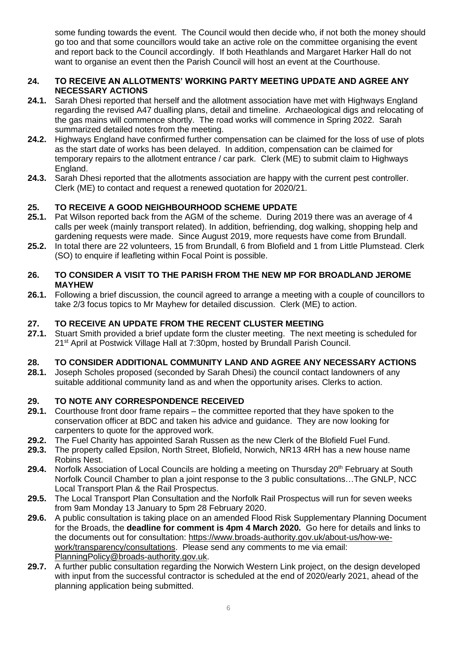some funding towards the event. The Council would then decide who, if not both the money should go too and that some councillors would take an active role on the committee organising the event and report back to the Council accordingly. If both Heathlands and Margaret Harker Hall do not want to organise an event then the Parish Council will host an event at the Courthouse.

## **24. TO RECEIVE AN ALLOTMENTS' WORKING PARTY MEETING UPDATE AND AGREE ANY NECESSARY ACTIONS**

- **24.1.** Sarah Dhesi reported that herself and the allotment association have met with Highways England regarding the revised A47 dualling plans, detail and timeline. Archaeological digs and relocating of the gas mains will commence shortly. The road works will commence in Spring 2022. Sarah summarized detailed notes from the meeting.
- **24.2.** Highways England have confirmed further compensation can be claimed for the loss of use of plots as the start date of works has been delayed. In addition, compensation can be claimed for temporary repairs to the allotment entrance / car park. Clerk (ME) to submit claim to Highways England.
- **24.3.** Sarah Dhesi reported that the allotments association are happy with the current pest controller. Clerk (ME) to contact and request a renewed quotation for 2020/21.

## **25. TO RECEIVE A GOOD NEIGHBOURHOOD SCHEME UPDATE**

- **25.1.** Pat Wilson reported back from the AGM of the scheme. During 2019 there was an average of 4 calls per week (mainly transport related). In addition, befriending, dog walking, shopping help and gardening requests were made. Since August 2019, more requests have come from Brundall.
- **25.2.** In total there are 22 volunteers, 15 from Brundall, 6 from Blofield and 1 from Little Plumstead. Clerk (SO) to enquire if leafleting within Focal Point is possible.

## **26. TO CONSIDER A VISIT TO THE PARISH FROM THE NEW MP FOR BROADLAND JEROME MAYHEW**

**26.1.** Following a brief discussion, the council agreed to arrange a meeting with a couple of councillors to take 2/3 focus topics to Mr Mayhew for detailed discussion. Clerk (ME) to action.

## **27. TO RECEIVE AN UPDATE FROM THE RECENT CLUSTER MEETING**

**27.1.** Stuart Smith provided a brief update form the cluster meeting. The next meeting is scheduled for 21<sup>st</sup> April at Postwick Village Hall at 7:30pm, hosted by Brundall Parish Council.

## **28. TO CONSIDER ADDITIONAL COMMUNITY LAND AND AGREE ANY NECESSARY ACTIONS**

**28.1.** Joseph Scholes proposed (seconded by Sarah Dhesi) the council contact landowners of any suitable additional community land as and when the opportunity arises. Clerks to action.

## **29. TO NOTE ANY CORRESPONDENCE RECEIVED**

- **29.1.** Courthouse front door frame repairs the committee reported that they have spoken to the conservation officer at BDC and taken his advice and guidance. They are now looking for carpenters to quote for the approved work.
- **29.2.** The Fuel Charity has appointed Sarah Russen as the new Clerk of the Blofield Fuel Fund.
- **29.3.** The property called Epsilon, North Street, Blofield, Norwich, NR13 4RH has a new house name Robins Nest.
- 29.4. Norfolk Association of Local Councils are holding a meeting on Thursday 20<sup>th</sup> February at South Norfolk Council Chamber to plan a joint response to the 3 public consultations…The GNLP, NCC Local Transport Plan & the Rail Prospectus.
- **29.5.** The Local Transport Plan Consultation and the Norfolk Rail Prospectus will run for seven weeks from 9am Monday 13 January to 5pm 28 February 2020.
- **29.6.** A public consultation is taking place on an amended Flood Risk Supplementary Planning Document for the Broads, the **deadline for comment is 4pm 4 March 2020.** Go here for details and links to the documents out for consultation: [https://www.broads-authority.gov.uk/about-us/how-we](https://www.broads-authority.gov.uk/about-us/how-we-work/transparency/consultations)[work/transparency/consultations.](https://www.broads-authority.gov.uk/about-us/how-we-work/transparency/consultations) Please send any comments to me via email: [PlanningPolicy@broads-authority.gov.uk.](mailto:PlanningPolicy@broads-authority.gov.uk)
- **29.7.** A further public consultation regarding the Norwich Western Link project, on the design developed with input from the successful contractor is scheduled at the end of 2020/early 2021, ahead of the planning application being submitted.